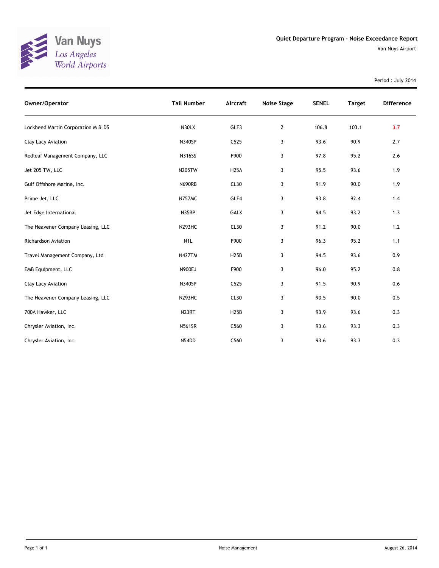

Van Nuys Airport

Period : July 2014

| Owner/Operator                     | <b>Tail Number</b> | Aircraft    | <b>Noise Stage</b> | <b>SENEL</b> | <b>Target</b> | <b>Difference</b> |
|------------------------------------|--------------------|-------------|--------------------|--------------|---------------|-------------------|
| Lockheed Martin Corporation M & DS | N30LX              | GLF3        | $\overline{2}$     | 106.8        | 103.1         | 3.7               |
| Clay Lacy Aviation                 | N340SP             | C525        | 3                  | 93.6         | 90.9          | 2.7               |
| Redleaf Management Company, LLC    | <b>N316SS</b>      | F900        | 3                  | 97.8         | 95.2          | 2.6               |
| Jet 205 TW, LLC                    | <b>N205TW</b>      | <b>H25A</b> | 3                  | 95.5         | 93.6          | 1.9               |
| Gulf Offshore Marine, Inc.         | <b>N690RB</b>      | CL30        | 3                  | 91.9         | 90.0          | 1.9               |
| Prime Jet, LLC                     | <b>N757MC</b>      | GLF4        | 3                  | 93.8         | 92.4          | 1.4               |
| Jet Edge International             | N35BP              | <b>GALX</b> | 3                  | 94.5         | 93.2          | 1.3               |
| The Heavener Company Leasing, LLC  | N293HC             | CL30        | 3                  | 91.2         | 90.0          | 1.2               |
| Richardson Aviation                | N <sub>1</sub> L   | F900        | 3                  | 96.3         | 95.2          | 1.1               |
| Travel Management Company, Ltd     | <b>N427TM</b>      | <b>H25B</b> | 3                  | 94.5         | 93.6          | 0.9               |
| EMB Equipment, LLC                 | <b>N900EJ</b>      | F900        | 3                  | 96.0         | 95.2          | 0.8               |
| Clay Lacy Aviation                 | N340SP             | C525        | 3                  | 91.5         | 90.9          | 0.6               |
| The Heavener Company Leasing, LLC  | <b>N293HC</b>      | CL30        | 3                  | 90.5         | 90.0          | 0.5               |
| 700A Hawker, LLC                   | N <sub>23RT</sub>  | <b>H25B</b> | 3                  | 93.9         | 93.6          | 0.3               |
| Chrysler Aviation, Inc.            | <b>N561SR</b>      | C560        | 3                  | 93.6         | 93.3          | 0.3               |
| Chrysler Aviation, Inc.            | N54DD              | C560        | 3                  | 93.6         | 93.3          | 0.3               |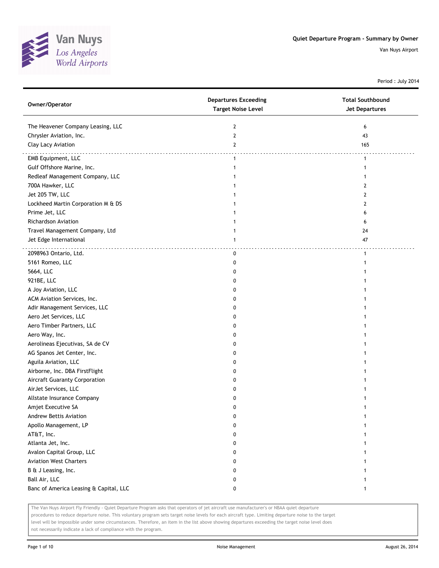

Period : July 2014

| Owner/Operator                         | <b>Departures Exceeding</b><br><b>Target Noise Level</b> | <b>Total Southbound</b><br>Jet Departures |
|----------------------------------------|----------------------------------------------------------|-------------------------------------------|
| The Heavener Company Leasing, LLC      | $\overline{2}$                                           | 6                                         |
| Chrysler Aviation, Inc.                | $\overline{2}$                                           | 43                                        |
| Clay Lacy Aviation                     | $\overline{2}$                                           | 165                                       |
| EMB Equipment, LLC                     | $\mathbf{1}$                                             | $\mathbf{1}$                              |
| Gulf Offshore Marine, Inc.             | 1                                                        | 1                                         |
| Redleaf Management Company, LLC        | 1                                                        |                                           |
| 700A Hawker, LLC                       | 1                                                        | 2                                         |
| Jet 205 TW, LLC                        | 1                                                        | 2                                         |
| Lockheed Martin Corporation M & DS     |                                                          | 2                                         |
| Prime Jet, LLC                         |                                                          | 6                                         |
| <b>Richardson Aviation</b>             |                                                          | 6                                         |
| Travel Management Company, Ltd         |                                                          | 24                                        |
| Jet Edge International                 | 1                                                        | 47                                        |
| 2098963 Ontario, Ltd.                  | $\mathbf 0$                                              | $\mathbf{1}$                              |
| 5161 Romeo, LLC                        | 0                                                        | 1                                         |
| 5664, LLC                              | 0                                                        |                                           |
| 921BE, LLC                             | 0                                                        |                                           |
| A Joy Aviation, LLC                    | 0                                                        |                                           |
| ACM Aviation Services, Inc.            | 0                                                        |                                           |
| Adir Management Services, LLC          | 0                                                        |                                           |
| Aero Jet Services, LLC                 | 0                                                        |                                           |
| Aero Timber Partners, LLC              | 0                                                        |                                           |
| Aero Way, Inc.                         | 0                                                        |                                           |
| Aerolineas Ejecutivas, SA de CV        | 0                                                        |                                           |
| AG Spanos Jet Center, Inc.             | 0                                                        |                                           |
| Aguila Aviation, LLC                   | 0                                                        |                                           |
| Airborne, Inc. DBA FirstFlight         | 0                                                        |                                           |
| Aircraft Guaranty Corporation          | 0                                                        |                                           |
| AirJet Services, LLC                   | 0                                                        |                                           |
| Allstate Insurance Company             | 0                                                        |                                           |
| Amjet Executive SA                     | 0                                                        |                                           |
| Andrew Bettis Aviation                 | 0                                                        |                                           |
| Apollo Management, LP                  | 0                                                        |                                           |
| AT&T, Inc.                             | 0                                                        |                                           |
| Atlanta Jet, Inc.                      | 0                                                        |                                           |
| Avalon Capital Group, LLC              | 0                                                        |                                           |
| <b>Aviation West Charters</b>          | 0                                                        |                                           |
| B & J Leasing, Inc.                    | 0                                                        |                                           |
| Ball Air, LLC                          | 0                                                        |                                           |
| Banc of America Leasing & Capital, LLC | 0                                                        | 1                                         |

The Van Nuys Airport Fly Friendly - Quiet Departure Program asks that operators of jet aircraft use manufacturer's or NBAA quiet departure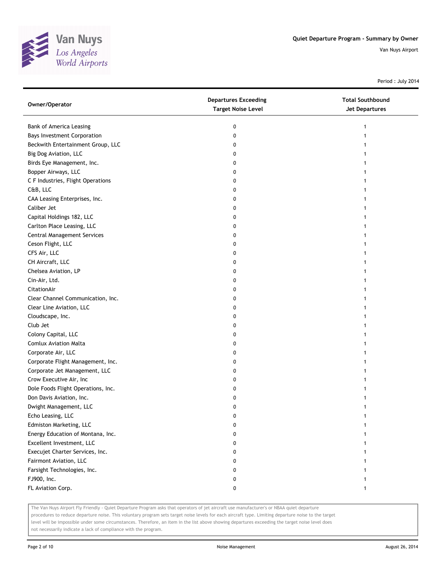

Period : July 2014

| Owner/Operator                     | <b>Departures Exceeding</b><br><b>Target Noise Level</b> | <b>Total Southbound</b><br><b>Jet Departures</b> |
|------------------------------------|----------------------------------------------------------|--------------------------------------------------|
| Bank of America Leasing            | 0                                                        | 1                                                |
| <b>Bays Investment Corporation</b> | 0                                                        |                                                  |
| Beckwith Entertainment Group, LLC  | 0                                                        |                                                  |
| Big Dog Aviation, LLC              | 0                                                        |                                                  |
| Birds Eye Management, Inc.         | 0                                                        |                                                  |
| Bopper Airways, LLC                | 0                                                        |                                                  |
| C F Industries, Flight Operations  | 0                                                        |                                                  |
| C&B, LLC                           | 0                                                        |                                                  |
| CAA Leasing Enterprises, Inc.      | 0                                                        |                                                  |
| Caliber Jet                        | 0                                                        |                                                  |
| Capital Holdings 182, LLC          | 0                                                        |                                                  |
| Carlton Place Leasing, LLC         | 0                                                        |                                                  |
| <b>Central Management Services</b> | 0                                                        |                                                  |
| Ceson Flight, LLC                  | 0                                                        |                                                  |
| CFS Air, LLC                       | 0                                                        |                                                  |
| CH Aircraft, LLC                   | 0                                                        |                                                  |
| Chelsea Aviation, LP               | 0                                                        |                                                  |
| Cin-Air, Ltd.                      | 0                                                        |                                                  |
| CitationAir                        | 0                                                        |                                                  |
| Clear Channel Communication, Inc.  | 0                                                        |                                                  |
| Clear Line Aviation, LLC           | 0                                                        |                                                  |
| Cloudscape, Inc.                   | 0                                                        |                                                  |
| Club Jet                           | 0                                                        |                                                  |
| Colony Capital, LLC                | 0                                                        |                                                  |
| <b>Comlux Aviation Malta</b>       | 0                                                        |                                                  |
| Corporate Air, LLC                 | 0                                                        |                                                  |
| Corporate Flight Management, Inc.  | 0                                                        |                                                  |
| Corporate Jet Management, LLC      | 0                                                        |                                                  |
| Crow Executive Air, Inc            | 0                                                        |                                                  |
| Dole Foods Flight Operations, Inc. | 0                                                        |                                                  |
| Don Davis Aviation, Inc.           | 0                                                        |                                                  |
| Dwight Management, LLC             | 0                                                        |                                                  |
| Echo Leasing, LLC                  |                                                          |                                                  |
| Edmiston Marketing, LLC            | 0                                                        |                                                  |
| Energy Education of Montana, Inc.  | 0                                                        |                                                  |
| Excellent Investment, LLC          | 0                                                        |                                                  |
| Execujet Charter Services, Inc.    | 0                                                        |                                                  |
| Fairmont Aviation, LLC             | 0                                                        |                                                  |
| Farsight Technologies, Inc.        | 0                                                        |                                                  |
| FJ900, Inc.                        | 0                                                        |                                                  |
| FL Aviation Corp.                  | 0                                                        |                                                  |

The Van Nuys Airport Fly Friendly - Quiet Departure Program asks that operators of jet aircraft use manufacturer's or NBAA quiet departure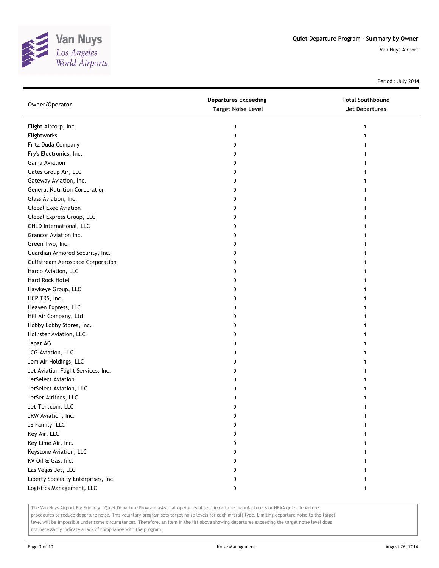

Period : July 2014

| Owner/Operator                          | <b>Departures Exceeding</b><br><b>Target Noise Level</b> | <b>Total Southbound</b><br><b>Jet Departures</b> |
|-----------------------------------------|----------------------------------------------------------|--------------------------------------------------|
| Flight Aircorp, Inc.                    | 0                                                        | 1                                                |
| Flightworks                             | 0                                                        | 1                                                |
| Fritz Duda Company                      | 0                                                        |                                                  |
| Fry's Electronics, Inc.                 | 0                                                        |                                                  |
| Gama Aviation                           | 0                                                        |                                                  |
| Gates Group Air, LLC                    | 0                                                        |                                                  |
| Gateway Aviation, Inc.                  | 0                                                        | 1                                                |
| <b>General Nutrition Corporation</b>    | 0                                                        | 1                                                |
| Glass Aviation, Inc.                    | 0                                                        | 1                                                |
| <b>Global Exec Aviation</b>             | 0                                                        |                                                  |
| Global Express Group, LLC               | 0                                                        |                                                  |
| GNLD International, LLC                 | 0                                                        |                                                  |
| Grancor Aviation Inc.                   | 0                                                        |                                                  |
| Green Two, Inc.                         | 0                                                        |                                                  |
| Guardian Armored Security, Inc.         | 0                                                        |                                                  |
| <b>Gulfstream Aerospace Corporation</b> | 0                                                        |                                                  |
| Harco Aviation, LLC                     | 0                                                        | 1                                                |
| Hard Rock Hotel                         | 0                                                        | 1                                                |
| Hawkeye Group, LLC                      | 0                                                        |                                                  |
| HCP TRS, Inc.                           | 0                                                        |                                                  |
| Heaven Express, LLC                     | 0                                                        |                                                  |
| Hill Air Company, Ltd                   | 0                                                        |                                                  |
| Hobby Lobby Stores, Inc.                | 0                                                        |                                                  |
| Hollister Aviation, LLC                 | 0                                                        |                                                  |
| Japat AG                                | 0                                                        |                                                  |
| JCG Aviation, LLC                       | 0                                                        |                                                  |
| Jem Air Holdings, LLC                   | 0                                                        |                                                  |
| Jet Aviation Flight Services, Inc.      | 0                                                        | 1                                                |
| JetSelect Aviation                      | 0                                                        |                                                  |
| JetSelect Aviation, LLC                 | 0                                                        |                                                  |
| JetSet Airlines, LLC                    | 0                                                        |                                                  |
| Jet-Ten.com, LLC                        | 0                                                        |                                                  |
| JRW Aviation, Inc.                      | U                                                        |                                                  |
| JS Family, LLC                          | 0                                                        |                                                  |
| Key Air, LLC                            | 0                                                        |                                                  |
| Key Lime Air, Inc.                      | 0                                                        |                                                  |
| Keystone Aviation, LLC                  | 0                                                        |                                                  |
| KV Oil & Gas, Inc.                      | 0                                                        |                                                  |
| Las Vegas Jet, LLC                      | 0                                                        |                                                  |
| Liberty Specialty Enterprises, Inc.     | 0                                                        |                                                  |
| Logistics Management, LLC               | 0                                                        | 1                                                |

The Van Nuys Airport Fly Friendly - Quiet Departure Program asks that operators of jet aircraft use manufacturer's or NBAA quiet departure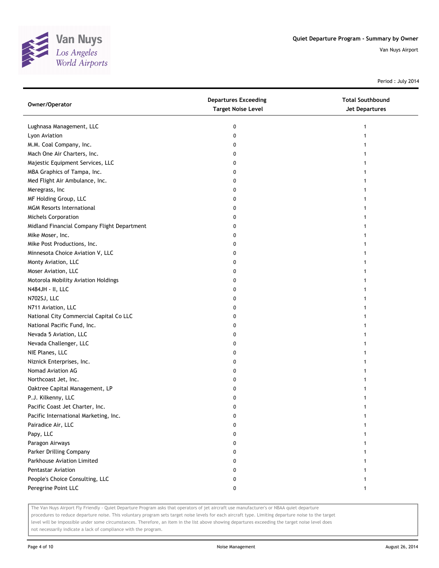

Period : July 2014

| Owner/Operator                              | <b>Departures Exceeding</b><br><b>Target Noise Level</b> | <b>Total Southbound</b><br><b>Jet Departures</b> |
|---------------------------------------------|----------------------------------------------------------|--------------------------------------------------|
| Lughnasa Management, LLC                    | 0                                                        | 1                                                |
| Lyon Aviation                               | 0                                                        |                                                  |
| M.M. Coal Company, Inc.                     | 0                                                        |                                                  |
| Mach One Air Charters, Inc.                 | 0                                                        |                                                  |
| Majestic Equipment Services, LLC            | 0                                                        |                                                  |
| MBA Graphics of Tampa, Inc.                 | 0                                                        |                                                  |
| Med Flight Air Ambulance, Inc.              | 0                                                        |                                                  |
| Meregrass, Inc                              | 0                                                        | 1                                                |
| MF Holding Group, LLC                       | 0                                                        |                                                  |
| <b>MGM Resorts International</b>            | 0                                                        |                                                  |
| Michels Corporation                         | 0                                                        |                                                  |
| Midland Financial Company Flight Department | 0                                                        |                                                  |
| Mike Moser, Inc.                            | 0                                                        |                                                  |
| Mike Post Productions, Inc.                 | 0                                                        |                                                  |
| Minnesota Choice Aviation V, LLC            | 0                                                        |                                                  |
| Monty Aviation, LLC                         | 0                                                        |                                                  |
| Moser Aviation, LLC                         | 0                                                        |                                                  |
| Motorola Mobility Aviation Holdings         | 0                                                        | 1                                                |
| N484JH - II, LLC                            | 0                                                        |                                                  |
| N702SJ, LLC                                 | 0                                                        |                                                  |
| N711 Aviation, LLC                          | 0                                                        |                                                  |
| National City Commercial Capital Co LLC     | 0                                                        |                                                  |
| National Pacific Fund, Inc.                 | 0                                                        |                                                  |
| Nevada 5 Aviation, LLC                      | 0                                                        |                                                  |
| Nevada Challenger, LLC                      | 0                                                        |                                                  |
| NIE Planes, LLC                             | 0                                                        |                                                  |
| Niznick Enterprises, Inc.                   | 0                                                        |                                                  |
| Nomad Aviation AG                           | 0                                                        |                                                  |
| Northcoast Jet, Inc.                        | 0                                                        |                                                  |
| Oaktree Capital Management, LP              | 0                                                        |                                                  |
| P.J. Kilkenny, LLC                          | 0                                                        |                                                  |
| Pacific Coast Jet Charter, Inc.             | 0                                                        |                                                  |
| Pacific International Marketing, Inc.       |                                                          |                                                  |
| Pairadice Air, LLC                          | 0                                                        |                                                  |
| Papy, LLC                                   | 0                                                        |                                                  |
| Paragon Airways                             | 0                                                        |                                                  |
| Parker Drilling Company                     | 0                                                        |                                                  |
| Parkhouse Aviation Limited                  | 0                                                        |                                                  |
| <b>Pentastar Aviation</b>                   | 0                                                        |                                                  |
| People's Choice Consulting, LLC             | 0                                                        |                                                  |
| Peregrine Point LLC                         | 0                                                        | 1                                                |

The Van Nuys Airport Fly Friendly - Quiet Departure Program asks that operators of jet aircraft use manufacturer's or NBAA quiet departure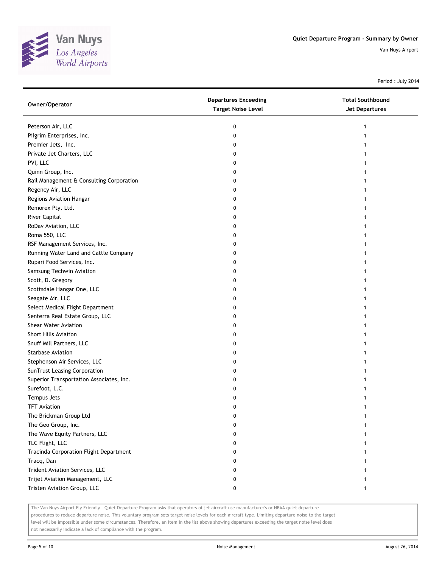

Period : July 2014

| Owner/Operator                           | <b>Departures Exceeding</b><br><b>Target Noise Level</b> | <b>Total Southbound</b><br><b>Jet Departures</b> |
|------------------------------------------|----------------------------------------------------------|--------------------------------------------------|
| Peterson Air, LLC                        | 0                                                        |                                                  |
| Pilgrim Enterprises, Inc.                | 0                                                        |                                                  |
| Premier Jets, Inc.                       | 0                                                        |                                                  |
| Private Jet Charters, LLC                | 0                                                        |                                                  |
| PVI, LLC                                 | 0                                                        |                                                  |
| Quinn Group, Inc.                        | 0                                                        |                                                  |
| Rail Management & Consulting Corporation | 0                                                        |                                                  |
| Regency Air, LLC                         | 0                                                        |                                                  |
| Regions Aviation Hangar                  | 0                                                        |                                                  |
| Remorex Pty. Ltd.                        | 0                                                        |                                                  |
| River Capital                            | 0                                                        |                                                  |
| RoDav Aviation, LLC                      | 0                                                        |                                                  |
| Roma 550, LLC                            | 0                                                        |                                                  |
| RSF Management Services, Inc.            | 0                                                        |                                                  |
| Running Water Land and Cattle Company    | 0                                                        |                                                  |
| Rupari Food Services, Inc.               | 0                                                        |                                                  |
| Samsung Techwin Aviation                 | 0                                                        |                                                  |
| Scott, D. Gregory                        | 0                                                        |                                                  |
| Scottsdale Hangar One, LLC               | 0                                                        |                                                  |
| Seagate Air, LLC                         | 0                                                        |                                                  |
| Select Medical Flight Department         | 0                                                        |                                                  |
| Senterra Real Estate Group, LLC          | 0                                                        |                                                  |
| Shear Water Aviation                     | 0                                                        |                                                  |
| <b>Short Hills Aviation</b>              | 0                                                        |                                                  |
| Snuff Mill Partners, LLC                 | 0                                                        |                                                  |
| <b>Starbase Aviation</b>                 | 0                                                        |                                                  |
| Stephenson Air Services, LLC             | 0                                                        |                                                  |
| SunTrust Leasing Corporation             | 0                                                        |                                                  |
| Superior Transportation Associates, Inc. | 0                                                        |                                                  |
| Surefoot, L.C.                           | 0                                                        |                                                  |
| Tempus Jets                              | 0                                                        |                                                  |
| <b>TFT Aviation</b>                      | 0                                                        |                                                  |
| The Brickman Group Ltd                   | U                                                        |                                                  |
| The Geo Group, Inc.                      | 0                                                        |                                                  |
| The Wave Equity Partners, LLC            | 0                                                        |                                                  |
| TLC Flight, LLC                          | 0                                                        |                                                  |
| Tracinda Corporation Flight Department   | 0                                                        |                                                  |
| Tracq, Dan                               | 0                                                        |                                                  |
| Trident Aviation Services, LLC           | 0                                                        |                                                  |
| Trijet Aviation Management, LLC          | 0                                                        |                                                  |
| Tristen Aviation Group, LLC              | 0                                                        |                                                  |

The Van Nuys Airport Fly Friendly - Quiet Departure Program asks that operators of jet aircraft use manufacturer's or NBAA quiet departure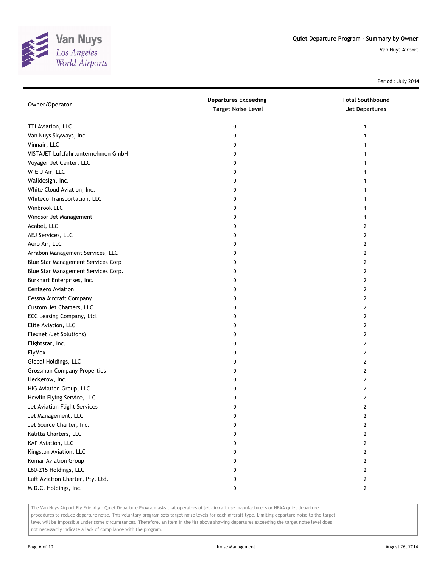

Period : July 2014

| Owner/Operator                      | <b>Departures Exceeding</b><br><b>Target Noise Level</b> | <b>Total Southbound</b><br><b>Jet Departures</b> |
|-------------------------------------|----------------------------------------------------------|--------------------------------------------------|
| TTI Aviation, LLC                   | 0                                                        | 1                                                |
| Van Nuys Skyways, Inc.              | 0                                                        | 1                                                |
| Vinnair, LLC                        | 0                                                        |                                                  |
| VISTAJET Luftfahrtunternehmen GmbH  | 0                                                        |                                                  |
| Voyager Jet Center, LLC             | 0                                                        |                                                  |
| W & J Air, LLC                      | 0                                                        |                                                  |
| Walldesign, Inc.                    | 0                                                        | 1                                                |
| White Cloud Aviation, Inc.          | 0                                                        | 1                                                |
| Whiteco Transportation, LLC         | 0                                                        | 1                                                |
| Winbrook LLC                        | 0                                                        |                                                  |
| Windsor Jet Management              | 0                                                        |                                                  |
| Acabel, LLC                         | 0                                                        | 2                                                |
| AEJ Services, LLC                   | 0                                                        | 2                                                |
| Aero Air, LLC                       | 0                                                        | 2                                                |
| Arrabon Management Services, LLC    | 0                                                        | 2                                                |
| Blue Star Management Services Corp  | 0                                                        | 2                                                |
| Blue Star Management Services Corp. | 0                                                        | 2                                                |
| Burkhart Enterprises, Inc.          | 0                                                        | 2                                                |
| Centaero Aviation                   | 0                                                        | 2                                                |
| Cessna Aircraft Company             | 0                                                        | 2                                                |
| Custom Jet Charters, LLC            | 0                                                        | 2                                                |
| ECC Leasing Company, Ltd.           | 0                                                        | 2                                                |
| Elite Aviation, LLC                 | 0                                                        | 2                                                |
| Flexnet (Jet Solutions)             | 0                                                        | 2                                                |
| Flightstar, Inc.                    | 0                                                        | 2                                                |
| FlyMex                              | 0                                                        | 2                                                |
| Global Holdings, LLC                | 0                                                        | 2                                                |
| <b>Grossman Company Properties</b>  | 0                                                        | 2                                                |
| Hedgerow, Inc.                      | 0                                                        | 2                                                |
| HIG Aviation Group, LLC             | 0                                                        | 2                                                |
| Howlin Flying Service, LLC          | 0                                                        | 2                                                |
| Jet Aviation Flight Services        | 0                                                        | 2                                                |
| Jet Management, LLC                 |                                                          | L                                                |
| Jet Source Charter, Inc.            | 0                                                        | 2                                                |
| Kalitta Charters, LLC               | 0                                                        | 2                                                |
| KAP Aviation, LLC                   | 0                                                        | 2                                                |
| Kingston Aviation, LLC              | 0                                                        | 2                                                |
| Komar Aviation Group                | 0                                                        | 2                                                |
| L60-215 Holdings, LLC               | 0                                                        | 2                                                |
| Luft Aviation Charter, Pty. Ltd.    | 0                                                        | 2                                                |
| M.D.C. Holdings, Inc.               | 0                                                        | 2                                                |

The Van Nuys Airport Fly Friendly - Quiet Departure Program asks that operators of jet aircraft use manufacturer's or NBAA quiet departure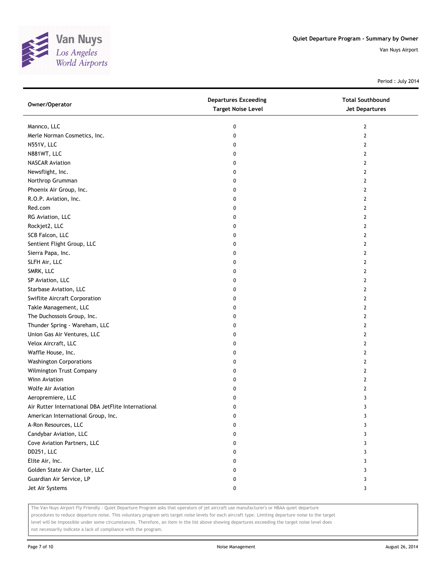

Period : July 2014

| Owner/Operator                                      | <b>Departures Exceeding</b><br><b>Target Noise Level</b> | <b>Total Southbound</b><br><b>Jet Departures</b> |
|-----------------------------------------------------|----------------------------------------------------------|--------------------------------------------------|
| Mannco, LLC                                         | 0                                                        | $\overline{2}$                                   |
| Merle Norman Cosmetics, Inc.                        | 0                                                        | $\overline{2}$                                   |
| N551V, LLC                                          | 0                                                        | 2                                                |
| N881WT, LLC                                         | 0                                                        | 2                                                |
| <b>NASCAR Aviation</b>                              | 0                                                        | 2                                                |
| Newsflight, Inc.                                    | 0                                                        | $\overline{2}$                                   |
| Northrop Grumman                                    | 0                                                        | 2                                                |
| Phoenix Air Group, Inc.                             | 0                                                        | 2                                                |
| R.O.P. Aviation, Inc.                               | 0                                                        | 2                                                |
| Red.com                                             | 0                                                        | 2                                                |
| RG Aviation, LLC                                    | 0                                                        | $\overline{2}$                                   |
| Rockjet2, LLC                                       | 0                                                        | 2                                                |
| SCB Falcon, LLC                                     | 0                                                        | 2                                                |
| Sentient Flight Group, LLC                          | 0                                                        | 2                                                |
| Sierra Papa, Inc.                                   | 0                                                        | 2                                                |
| SLFH Air, LLC                                       | 0                                                        | $\overline{2}$                                   |
| SMRK, LLC                                           | 0                                                        | 2                                                |
| SP Aviation, LLC                                    | 0                                                        | 2                                                |
| Starbase Aviation, LLC                              | 0                                                        | 2                                                |
| Swiflite Aircraft Corporation                       | 0                                                        | 2                                                |
| Takle Management, LLC                               | 0                                                        | $\overline{2}$                                   |
| The Duchossois Group, Inc.                          | 0                                                        | 2                                                |
| Thunder Spring - Wareham, LLC                       | 0                                                        | 2                                                |
| Union Gas Air Ventures, LLC                         | 0                                                        | 2                                                |
| Velox Aircraft, LLC                                 | 0                                                        | $\mathbf{2}$                                     |
| Waffle House, Inc.                                  | 0                                                        | $\overline{2}$                                   |
| <b>Washington Corporations</b>                      | 0                                                        | 2                                                |
| Wilmington Trust Company                            | 0                                                        | 2                                                |
| Winn Aviation                                       | 0                                                        | 2                                                |
| Wolfe Air Aviation                                  | 0                                                        | $\overline{2}$                                   |
| Aeropremiere, LLC                                   | 0                                                        | 3                                                |
| Air Rutter International DBA JetFlite International | 0                                                        | 3                                                |
| American International Group, Inc.                  | 0                                                        | 3                                                |
| A-Ron Resources, LLC                                | 0                                                        | 3                                                |
| Candybar Aviation, LLC                              | 0                                                        | 3                                                |
| Cove Aviation Partners, LLC                         | 0                                                        | 3                                                |
| DD251, LLC                                          | 0                                                        | 3                                                |
| Elite Air, Inc.                                     | 0                                                        | 3                                                |
| Golden State Air Charter, LLC                       | 0                                                        | 3                                                |
| Guardian Air Service, LP                            | 0                                                        | 3                                                |
| Jet Air Systems                                     | 0                                                        | 3                                                |

The Van Nuys Airport Fly Friendly - Quiet Departure Program asks that operators of jet aircraft use manufacturer's or NBAA quiet departure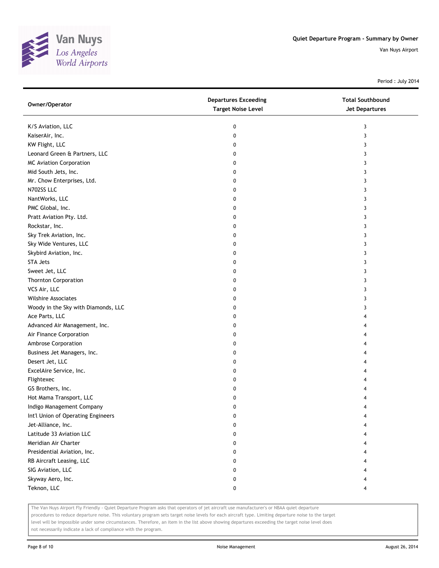

Period : July 2014

| Owner/Operator                      | <b>Departures Exceeding</b><br><b>Target Noise Level</b> | <b>Total Southbound</b><br>Jet Departures |
|-------------------------------------|----------------------------------------------------------|-------------------------------------------|
| K/S Aviation, LLC                   | 0                                                        | 3                                         |
| KaiserAir, Inc.                     | 0                                                        | 3                                         |
| KW Flight, LLC                      | 0                                                        | 3                                         |
| Leonard Green & Partners, LLC       | 0                                                        | 3                                         |
| <b>MC Aviation Corporation</b>      | 0                                                        | 3                                         |
| Mid South Jets, Inc.                | 0                                                        | 3                                         |
| Mr. Chow Enterprises, Ltd.          | 0                                                        | 3                                         |
| N702SS LLC                          | 0                                                        | 3                                         |
| NantWorks, LLC                      | 0                                                        | 3                                         |
| PMC Global, Inc.                    | 0                                                        | 3                                         |
| Pratt Aviation Pty. Ltd.            | 0                                                        | 3                                         |
| Rockstar, Inc.                      | 0                                                        | 3                                         |
| Sky Trek Aviation, Inc.             | 0                                                        | 3                                         |
| Sky Wide Ventures, LLC              | 0                                                        | 3                                         |
| Skybird Aviation, Inc.              | 0                                                        | 3                                         |
| <b>STA Jets</b>                     | 0                                                        | 3                                         |
| Sweet Jet, LLC                      | 0                                                        | 3                                         |
| <b>Thornton Corporation</b>         | 0                                                        | 3                                         |
| VCS Air, LLC                        | 0                                                        | 3                                         |
| <b>Wilshire Associates</b>          | 0                                                        | 3                                         |
| Woody in the Sky with Diamonds, LLC | 0                                                        | 3                                         |
| Ace Parts, LLC                      | 0                                                        | 4                                         |
| Advanced Air Management, Inc.       | 0                                                        | 4                                         |
| Air Finance Corporation             | 0                                                        | 4                                         |
| Ambrose Corporation                 | 0                                                        | 4                                         |
| Business Jet Managers, Inc.         | 0                                                        | 4                                         |
| Desert Jet, LLC                     | 0                                                        | 4                                         |
| ExcelAire Service, Inc.             | 0                                                        | 4                                         |
| Flightexec                          | 0                                                        |                                           |
| GS Brothers, Inc.                   | 0                                                        |                                           |
| Hot Mama Transport, LLC             | 0                                                        |                                           |
| Indigo Management Company           | 0                                                        | 4                                         |
| Int'l Union of Operating Engineers  | 0                                                        |                                           |
| Jet-Alliance, Inc.                  | 0                                                        |                                           |
| Latitude 33 Aviation LLC            | 0                                                        |                                           |
| Meridian Air Charter                | 0                                                        |                                           |
| Presidential Aviation, Inc.         | 0                                                        |                                           |
| RB Aircraft Leasing, LLC            | 0                                                        |                                           |
| SIG Aviation, LLC                   | 0                                                        |                                           |
| Skyway Aero, Inc.                   | 0                                                        |                                           |
| Teknon, LLC                         | 0                                                        |                                           |

The Van Nuys Airport Fly Friendly - Quiet Departure Program asks that operators of jet aircraft use manufacturer's or NBAA quiet departure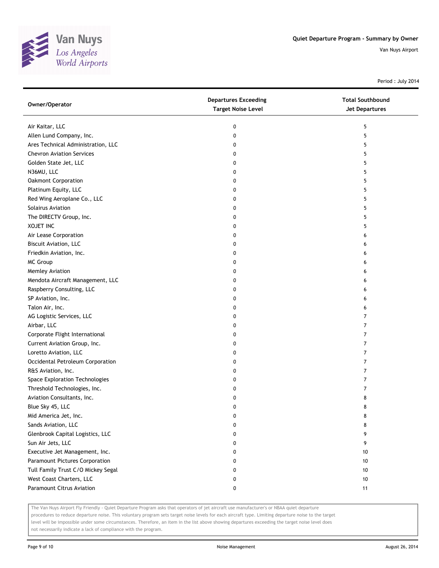

Period : July 2014

| Owner/Operator                     | <b>Departures Exceeding</b><br><b>Target Noise Level</b> | <b>Total Southbound</b><br><b>Jet Departures</b> |
|------------------------------------|----------------------------------------------------------|--------------------------------------------------|
| Air Kaitar, LLC                    | 0                                                        | 5                                                |
| Allen Lund Company, Inc.           | 0                                                        | 5                                                |
| Ares Technical Administration, LLC | 0                                                        | 5                                                |
| <b>Chevron Aviation Services</b>   | 0                                                        | 5                                                |
| Golden State Jet, LLC              | 0                                                        | 5                                                |
| N36MU, LLC                         | 0                                                        | 5                                                |
| Oakmont Corporation                | 0                                                        | 5                                                |
| Platinum Equity, LLC               | 0                                                        | 5                                                |
| Red Wing Aeroplane Co., LLC        | 0                                                        | 5                                                |
| Solairus Aviation                  | 0                                                        | 5                                                |
| The DIRECTV Group, Inc.            | 0                                                        | 5                                                |
| <b>XOJET INC</b>                   | 0                                                        | 5                                                |
| Air Lease Corporation              | 0                                                        | 6                                                |
| Biscuit Aviation, LLC              | 0                                                        | 6                                                |
| Friedkin Aviation, Inc.            | 0                                                        | 6                                                |
| MC Group                           | 0                                                        | 6                                                |
| Memley Aviation                    | 0                                                        | 6                                                |
| Mendota Aircraft Management, LLC   | 0                                                        | 6                                                |
| Raspberry Consulting, LLC          | 0                                                        | 6                                                |
| SP Aviation, Inc.                  | 0                                                        | 6                                                |
| Talon Air, Inc.                    | 0                                                        | 6                                                |
| AG Logistic Services, LLC          | 0                                                        | 7                                                |
| Airbar, LLC                        | 0                                                        | 7                                                |
| Corporate Flight International     | 0                                                        | 7                                                |
| Current Aviation Group, Inc.       | 0                                                        | 7                                                |
| Loretto Aviation, LLC              | 0                                                        | 7                                                |
| Occidental Petroleum Corporation   | 0                                                        | 7                                                |
| R&S Aviation, Inc.                 | 0                                                        | 7                                                |
| Space Exploration Technologies     | 0                                                        | 7                                                |
| Threshold Technologies, Inc.       | 0                                                        | 7                                                |
| Aviation Consultants, Inc.         | 0                                                        | 8                                                |
| Blue Sky 45, LLC                   | 0                                                        | 8                                                |
| Mid America Jet, Inc.              | 0                                                        | 8                                                |
| Sands Aviation, LLC                | 0                                                        | 8                                                |
| Glenbrook Capital Logistics, LLC   | 0                                                        | 9                                                |
| Sun Air Jets, LLC                  | 0                                                        | 9                                                |
| Executive Jet Management, Inc.     | 0                                                        | 10                                               |
| Paramount Pictures Corporation     | 0                                                        | 10                                               |
| Tull Family Trust C/O Mickey Segal | 0                                                        | 10                                               |
| West Coast Charters, LLC           | 0                                                        | 10                                               |
| Paramount Citrus Aviation          | 0                                                        | 11                                               |

The Van Nuys Airport Fly Friendly - Quiet Departure Program asks that operators of jet aircraft use manufacturer's or NBAA quiet departure